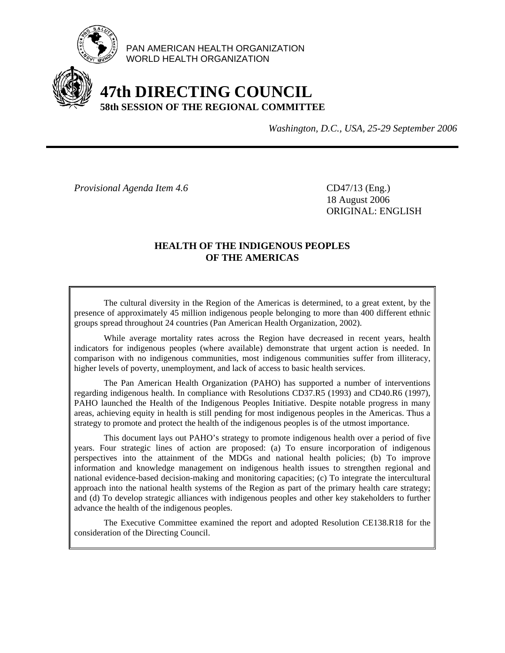

PAN AMERICAN HEALTH ORGANIZATION WORLD HEALTH ORGANIZATION

# **47th DIRECTING COUNCIL 58th SESSION OF THE REGIONAL COMMITTEE**

*Washington, D.C., USA, 25-29 September 2006*

*Provisional Agenda Item 4.6* CD47/13 (Eng.)

 18 August 2006 ORIGINAL: ENGLISH

### **HEALTH OF THE INDIGENOUS PEOPLES OF THE AMERICAS**

 The cultural diversity in the Region of the Americas is determined, to a great extent, by the presence of approximately 45 million indigenous people belonging to more than 400 different ethnic groups spread throughout 24 countries (Pan American Health Organization, 2002).

 While average mortality rates across the Region have decreased in recent years, health indicators for indigenous peoples (where available) demonstrate that urgent action is needed. In comparison with no indigenous communities, most indigenous communities suffer from illiteracy, higher levels of poverty, unemployment, and lack of access to basic health services.

 The Pan American Health Organization (PAHO) has supported a number of interventions regarding indigenous health. In compliance with Resolutions CD37.R5 (1993) and CD40.R6 (1997), PAHO launched the Health of the Indigenous Peoples Initiative. Despite notable progress in many areas, achieving equity in health is still pending for most indigenous peoples in the Americas. Thus a strategy to promote and protect the health of the indigenous peoples is of the utmost importance.

 This document lays out PAHO's strategy to promote indigenous health over a period of five years. Four strategic lines of action are proposed: (a) To ensure incorporation of indigenous perspectives into the attainment of the MDGs and national health policies; (b) To improve information and knowledge management on indigenous health issues to strengthen regional and national evidence-based decision-making and monitoring capacities; (c) To integrate the intercultural approach into the national health systems of the Region as part of the primary health care strategy; and (d) To develop strategic alliances with indigenous peoples and other key stakeholders to further advance the health of the indigenous peoples.

 The Executive Committee examined the report and adopted Resolution CE138.R18 for the consideration of the Directing Council.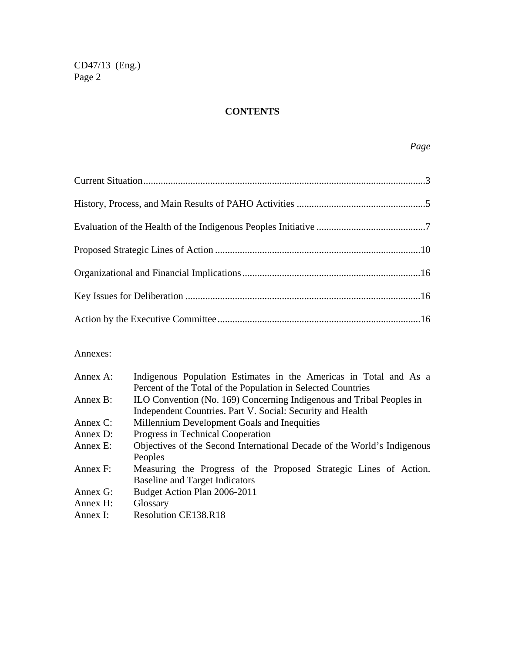# **CONTENTS**

#### Annexes:

| Annex A:    | Indigenous Population Estimates in the Americas in Total and As a       |  |  |  |
|-------------|-------------------------------------------------------------------------|--|--|--|
|             | Percent of the Total of the Population in Selected Countries            |  |  |  |
| Annex B:    | ILO Convention (No. 169) Concerning Indigenous and Tribal Peoples in    |  |  |  |
|             | Independent Countries. Part V. Social: Security and Health              |  |  |  |
| Annex $C$ : | Millennium Development Goals and Inequities                             |  |  |  |
| Annex $D$ : | Progress in Technical Cooperation                                       |  |  |  |
| Annex E:    | Objectives of the Second International Decade of the World's Indigenous |  |  |  |
|             | Peoples                                                                 |  |  |  |
| Annex F:    | Measuring the Progress of the Proposed Strategic Lines of Action.       |  |  |  |
|             | <b>Baseline and Target Indicators</b>                                   |  |  |  |
| Annex $G$ : | Budget Action Plan 2006-2011                                            |  |  |  |
| Annex $H$ : | Glossary                                                                |  |  |  |
| Annex I:    | <b>Resolution CE138.R18</b>                                             |  |  |  |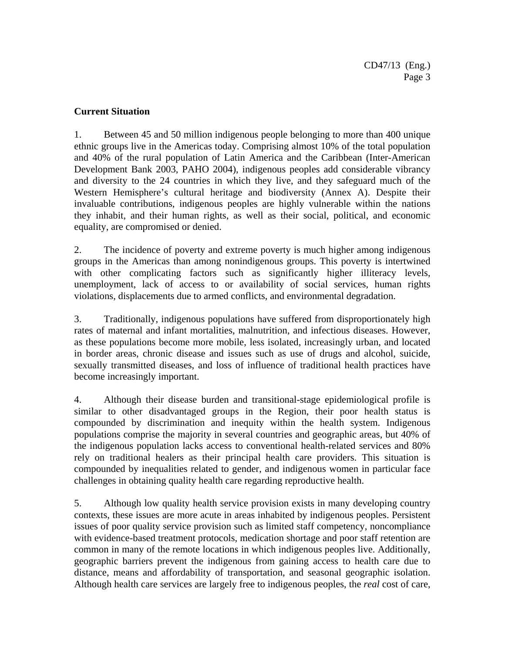## **Current Situation**

1. Between 45 and 50 million indigenous people belonging to more than 400 unique ethnic groups live in the Americas today. Comprising almost 10% of the total population and 40% of the rural population of Latin America and the Caribbean (Inter-American Development Bank 2003, PAHO 2004), indigenous peoples add considerable vibrancy and diversity to the 24 countries in which they live, and they safeguard much of the Western Hemisphere's cultural heritage and biodiversity (Annex A). Despite their invaluable contributions, indigenous peoples are highly vulnerable within the nations they inhabit, and their human rights, as well as their social, political, and economic equality, are compromised or denied.

2. The incidence of poverty and extreme poverty is much higher among indigenous groups in the Americas than among nonindigenous groups. This poverty is intertwined with other complicating factors such as significantly higher illiteracy levels, unemployment, lack of access to or availability of social services, human rights violations, displacements due to armed conflicts, and environmental degradation.

3. Traditionally, indigenous populations have suffered from disproportionately high rates of maternal and infant mortalities, malnutrition, and infectious diseases. However, as these populations become more mobile, less isolated, increasingly urban, and located in border areas, chronic disease and issues such as use of drugs and alcohol, suicide, sexually transmitted diseases, and loss of influence of traditional health practices have become increasingly important.

4. Although their disease burden and transitional-stage epidemiological profile is similar to other disadvantaged groups in the Region, their poor health status is compounded by discrimination and inequity within the health system. Indigenous populations comprise the majority in several countries and geographic areas, but 40% of the indigenous population lacks access to conventional health-related services and 80% rely on traditional healers as their principal health care providers. This situation is compounded by inequalities related to gender, and indigenous women in particular face challenges in obtaining quality health care regarding reproductive health.

5. Although low quality health service provision exists in many developing country contexts, these issues are more acute in areas inhabited by indigenous peoples. Persistent issues of poor quality service provision such as limited staff competency, noncompliance with evidence-based treatment protocols, medication shortage and poor staff retention are common in many of the remote locations in which indigenous peoples live. Additionally, geographic barriers prevent the indigenous from gaining access to health care due to distance, means and affordability of transportation, and seasonal geographic isolation. Although health care services are largely free to indigenous peoples, the *real* cost of care,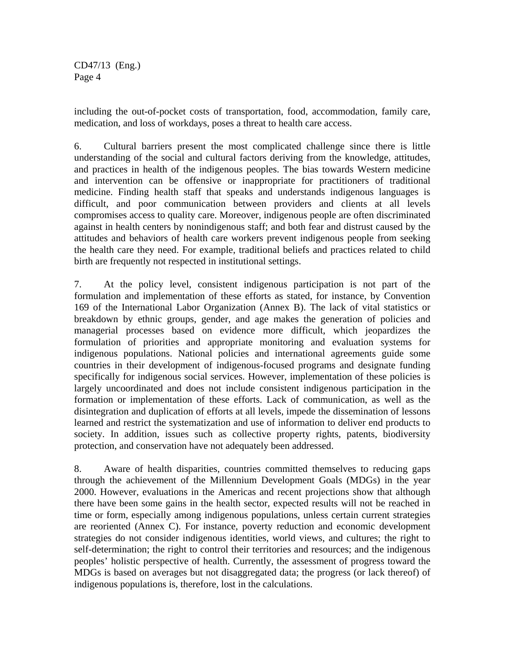including the out-of-pocket costs of transportation, food, accommodation, family care, medication, and loss of workdays, poses a threat to health care access.

6. Cultural barriers present the most complicated challenge since there is little understanding of the social and cultural factors deriving from the knowledge, attitudes, and practices in health of the indigenous peoples. The bias towards Western medicine and intervention can be offensive or inappropriate for practitioners of traditional medicine. Finding health staff that speaks and understands indigenous languages is difficult, and poor communication between providers and clients at all levels compromises access to quality care. Moreover, indigenous people are often discriminated against in health centers by nonindigenous staff; and both fear and distrust caused by the attitudes and behaviors of health care workers prevent indigenous people from seeking the health care they need. For example, traditional beliefs and practices related to child birth are frequently not respected in institutional settings.

7. At the policy level, consistent indigenous participation is not part of the formulation and implementation of these efforts as stated, for instance, by Convention 169 of the International Labor Organization (Annex B). The lack of vital statistics or breakdown by ethnic groups, gender, and age makes the generation of policies and managerial processes based on evidence more difficult, which jeopardizes the formulation of priorities and appropriate monitoring and evaluation systems for indigenous populations. National policies and international agreements guide some countries in their development of indigenous-focused programs and designate funding specifically for indigenous social services. However, implementation of these policies is largely uncoordinated and does not include consistent indigenous participation in the formation or implementation of these efforts. Lack of communication, as well as the disintegration and duplication of efforts at all levels, impede the dissemination of lessons learned and restrict the systematization and use of information to deliver end products to society. In addition, issues such as collective property rights, patents, biodiversity protection, and conservation have not adequately been addressed.

8. Aware of health disparities, countries committed themselves to reducing gaps through the achievement of the Millennium Development Goals (MDGs) in the year 2000. However, evaluations in the Americas and recent projections show that although there have been some gains in the health sector, expected results will not be reached in time or form, especially among indigenous populations, unless certain current strategies are reoriented (Annex C). For instance, poverty reduction and economic development strategies do not consider indigenous identities, world views, and cultures; the right to self-determination; the right to control their territories and resources; and the indigenous peoples' holistic perspective of health. Currently, the assessment of progress toward the MDGs is based on averages but not disaggregated data; the progress (or lack thereof) of indigenous populations is, therefore, lost in the calculations.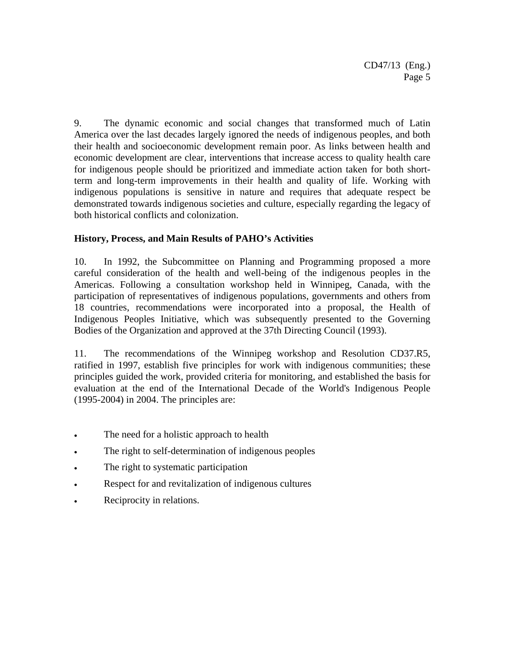9. The dynamic economic and social changes that transformed much of Latin America over the last decades largely ignored the needs of indigenous peoples, and both their health and socioeconomic development remain poor. As links between health and economic development are clear, interventions that increase access to quality health care for indigenous people should be prioritized and immediate action taken for both shortterm and long-term improvements in their health and quality of life. Working with indigenous populations is sensitive in nature and requires that adequate respect be demonstrated towards indigenous societies and culture, especially regarding the legacy of both historical conflicts and colonization.

## **History, Process, and Main Results of PAHO's Activities**

10. In 1992, the Subcommittee on Planning and Programming proposed a more careful consideration of the health and well-being of the indigenous peoples in the Americas. Following a consultation workshop held in Winnipeg, Canada, with the participation of representatives of indigenous populations, governments and others from 18 countries, recommendations were incorporated into a proposal, the Health of Indigenous Peoples Initiative, which was subsequently presented to the Governing Bodies of the Organization and approved at the 37th Directing Council (1993).

11. The recommendations of the Winnipeg workshop and Resolution CD37.R5, ratified in 1997, establish five principles for work with indigenous communities; these principles guided the work, provided criteria for monitoring, and established the basis for evaluation at the end of the International Decade of the World's Indigenous People (1995-2004) in 2004. The principles are:

- The need for a holistic approach to health
- The right to self-determination of indigenous peoples
- The right to systematic participation
- Respect for and revitalization of indigenous cultures
- Reciprocity in relations.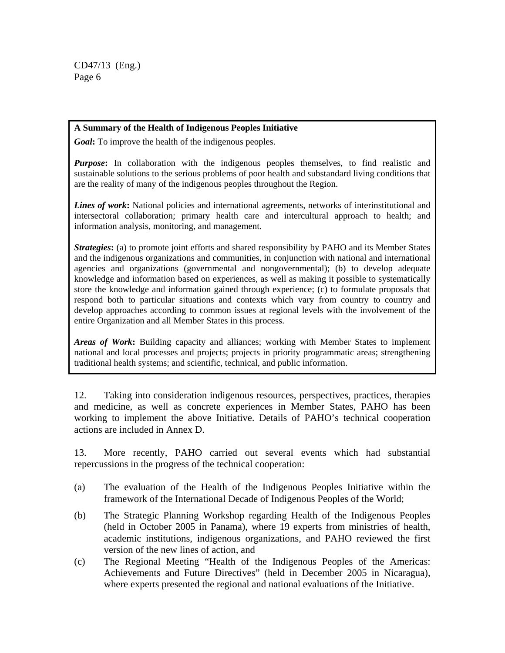#### **A Summary of the Health of Indigenous Peoples Initiative**

*Goal***:** To improve the health of the indigenous peoples.

*Purpose***:** In collaboration with the indigenous peoples themselves, to find realistic and sustainable solutions to the serious problems of poor health and substandard living conditions that are the reality of many of the indigenous peoples throughout the Region.

*Lines of work***:** National policies and international agreements, networks of interinstitutional and intersectoral collaboration; primary health care and intercultural approach to health; and information analysis, monitoring, and management.

*Strategies***:** (a) to promote joint efforts and shared responsibility by PAHO and its Member States and the indigenous organizations and communities, in conjunction with national and international agencies and organizations (governmental and nongovernmental); (b) to develop adequate knowledge and information based on experiences, as well as making it possible to systematically store the knowledge and information gained through experience; (c) to formulate proposals that respond both to particular situations and contexts which vary from country to country and develop approaches according to common issues at regional levels with the involvement of the entire Organization and all Member States in this process.

*Areas of Work***:** Building capacity and alliances; working with Member States to implement national and local processes and projects; projects in priority programmatic areas; strengthening traditional health systems; and scientific, technical, and public information.

12. Taking into consideration indigenous resources, perspectives, practices, therapies and medicine, as well as concrete experiences in Member States, PAHO has been working to implement the above Initiative. Details of PAHO's technical cooperation actions are included in Annex D.

13. More recently, PAHO carried out several events which had substantial repercussions in the progress of the technical cooperation:

- (a) The evaluation of the Health of the Indigenous Peoples Initiative within the framework of the International Decade of Indigenous Peoples of the World;
- (b) The Strategic Planning Workshop regarding Health of the Indigenous Peoples (held in October 2005 in Panama), where 19 experts from ministries of health, academic institutions, indigenous organizations, and PAHO reviewed the first version of the new lines of action, and
- (c) The Regional Meeting "Health of the Indigenous Peoples of the Americas: Achievements and Future Directives" (held in December 2005 in Nicaragua), where experts presented the regional and national evaluations of the Initiative.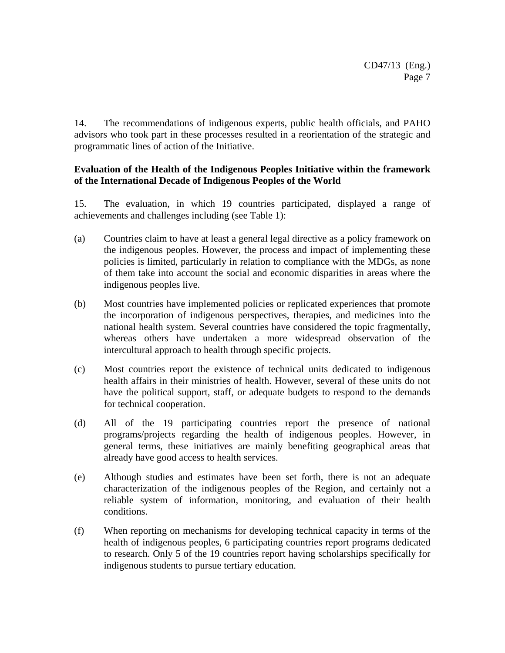14. The recommendations of indigenous experts, public health officials, and PAHO advisors who took part in these processes resulted in a reorientation of the strategic and programmatic lines of action of the Initiative.

## **Evaluation of the Health of the Indigenous Peoples Initiative within the framework of the International Decade of Indigenous Peoples of the World**

15. The evaluation, in which 19 countries participated, displayed a range of achievements and challenges including (see Table 1):

- (a) Countries claim to have at least a general legal directive as a policy framework on the indigenous peoples. However, the process and impact of implementing these policies is limited, particularly in relation to compliance with the MDGs, as none of them take into account the social and economic disparities in areas where the indigenous peoples live.
- (b) Most countries have implemented policies or replicated experiences that promote the incorporation of indigenous perspectives, therapies, and medicines into the national health system. Several countries have considered the topic fragmentally, whereas others have undertaken a more widespread observation of the intercultural approach to health through specific projects.
- (c) Most countries report the existence of technical units dedicated to indigenous health affairs in their ministries of health. However, several of these units do not have the political support, staff, or adequate budgets to respond to the demands for technical cooperation.
- (d) All of the 19 participating countries report the presence of national programs/projects regarding the health of indigenous peoples. However, in general terms, these initiatives are mainly benefiting geographical areas that already have good access to health services.
- (e) Although studies and estimates have been set forth, there is not an adequate characterization of the indigenous peoples of the Region, and certainly not a reliable system of information, monitoring, and evaluation of their health conditions.
- (f) When reporting on mechanisms for developing technical capacity in terms of the health of indigenous peoples, 6 participating countries report programs dedicated to research. Only 5 of the 19 countries report having scholarships specifically for indigenous students to pursue tertiary education.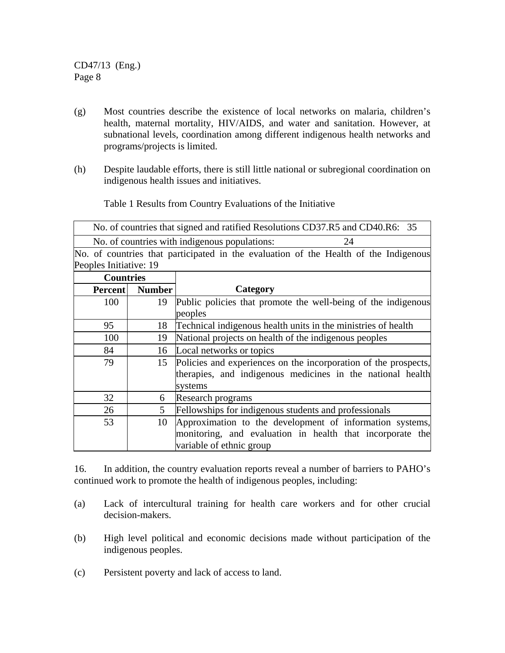- (g) Most countries describe the existence of local networks on malaria, children's health, maternal mortality, HIV/AIDS, and water and sanitation. However, at subnational levels, coordination among different indigenous health networks and programs/projects is limited.
- (h) Despite laudable efforts, there is still little national or subregional coordination on indigenous health issues and initiatives.

Table 1 Results from Country Evaluations of the Initiative

| No. of countries that signed and ratified Resolutions CD37.R5 and CD40.R6: 35 |    |
|-------------------------------------------------------------------------------|----|
| No. of countries with indigenous populations:                                 | 24 |

No. of countries that participated in the evaluation of the Health of the Indigenous Peoples Initiative: 19

| <b>Countries</b> |               |                                                                 |  |  |
|------------------|---------------|-----------------------------------------------------------------|--|--|
| <b>Percent</b>   | <b>Number</b> | Category                                                        |  |  |
| 100              | 19            | Public policies that promote the well-being of the indigenous   |  |  |
|                  |               | peoples                                                         |  |  |
| 95               | 18            | Technical indigenous health units in the ministries of health   |  |  |
| 100              | 19            | National projects on health of the indigenous peoples           |  |  |
| 84               | 16            | Local networks or topics                                        |  |  |
| 79               | 15            | Policies and experiences on the incorporation of the prospects, |  |  |
|                  |               | therapies, and indigenous medicines in the national health      |  |  |
|                  |               | systems                                                         |  |  |
| 32               | 6             | Research programs                                               |  |  |
| 26               | 5             | Fellowships for indigenous students and professionals           |  |  |
| 53               | 10            | Approximation to the development of information systems,        |  |  |
|                  |               | monitoring, and evaluation in health that incorporate the       |  |  |
|                  |               | variable of ethnic group                                        |  |  |

16. In addition, the country evaluation reports reveal a number of barriers to PAHO's continued work to promote the health of indigenous peoples, including:

- (a) Lack of intercultural training for health care workers and for other crucial decision-makers.
- (b) High level political and economic decisions made without participation of the indigenous peoples.
- (c) Persistent poverty and lack of access to land.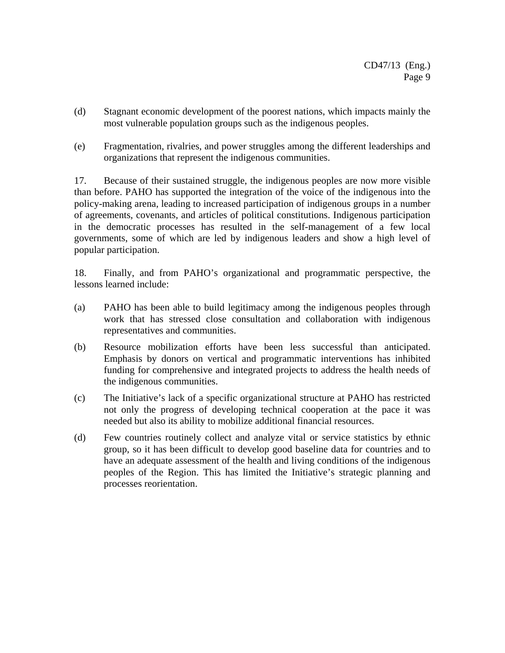- (d) Stagnant economic development of the poorest nations, which impacts mainly the most vulnerable population groups such as the indigenous peoples.
- (e) Fragmentation, rivalries, and power struggles among the different leaderships and organizations that represent the indigenous communities.

17. Because of their sustained struggle, the indigenous peoples are now more visible than before. PAHO has supported the integration of the voice of the indigenous into the policy-making arena, leading to increased participation of indigenous groups in a number of agreements, covenants, and articles of political constitutions. Indigenous participation in the democratic processes has resulted in the self-management of a few local governments, some of which are led by indigenous leaders and show a high level of popular participation.

18. Finally, and from PAHO's organizational and programmatic perspective, the lessons learned include:

- (a) PAHO has been able to build legitimacy among the indigenous peoples through work that has stressed close consultation and collaboration with indigenous representatives and communities.
- (b) Resource mobilization efforts have been less successful than anticipated. Emphasis by donors on vertical and programmatic interventions has inhibited funding for comprehensive and integrated projects to address the health needs of the indigenous communities.
- (c) The Initiative's lack of a specific organizational structure at PAHO has restricted not only the progress of developing technical cooperation at the pace it was needed but also its ability to mobilize additional financial resources.
- (d) Few countries routinely collect and analyze vital or service statistics by ethnic group, so it has been difficult to develop good baseline data for countries and to have an adequate assessment of the health and living conditions of the indigenous peoples of the Region. This has limited the Initiative's strategic planning and processes reorientation.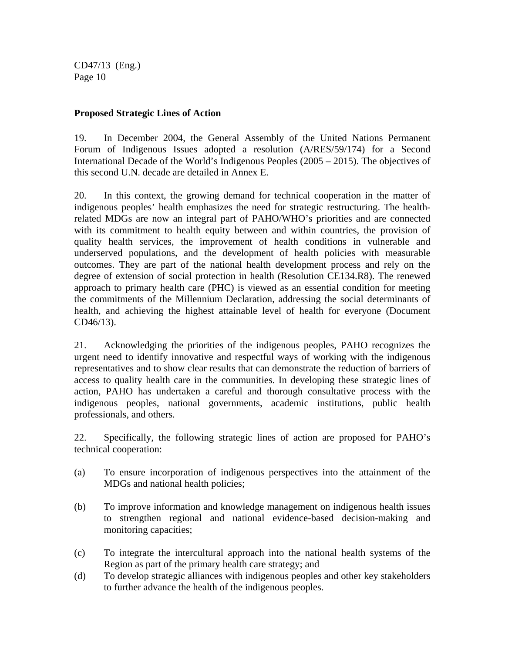## **Proposed Strategic Lines of Action**

19. In December 2004, the General Assembly of the United Nations Permanent Forum of Indigenous Issues adopted a resolution (A/RES/59/174) for a Second International Decade of the World's Indigenous Peoples (2005 – 2015). The objectives of this second U.N. decade are detailed in Annex E.

20. In this context, the growing demand for technical cooperation in the matter of indigenous peoples' health emphasizes the need for strategic restructuring. The healthrelated MDGs are now an integral part of PAHO/WHO's priorities and are connected with its commitment to health equity between and within countries, the provision of quality health services, the improvement of health conditions in vulnerable and underserved populations, and the development of health policies with measurable outcomes. They are part of the national health development process and rely on the degree of extension of social protection in health (Resolution CE134.R8). The renewed approach to primary health care (PHC) is viewed as an essential condition for meeting the commitments of the Millennium Declaration, addressing the social determinants of health, and achieving the highest attainable level of health for everyone (Document CD46/13).

21. Acknowledging the priorities of the indigenous peoples, PAHO recognizes the urgent need to identify innovative and respectful ways of working with the indigenous representatives and to show clear results that can demonstrate the reduction of barriers of access to quality health care in the communities. In developing these strategic lines of action, PAHO has undertaken a careful and thorough consultative process with the indigenous peoples, national governments, academic institutions, public health professionals, and others.

22. Specifically, the following strategic lines of action are proposed for PAHO's technical cooperation:

- (a) To ensure incorporation of indigenous perspectives into the attainment of the MDGs and national health policies;
- (b) To improve information and knowledge management on indigenous health issues to strengthen regional and national evidence-based decision-making and monitoring capacities;
- (c) To integrate the intercultural approach into the national health systems of the Region as part of the primary health care strategy; and
- (d) To develop strategic alliances with indigenous peoples and other key stakeholders to further advance the health of the indigenous peoples.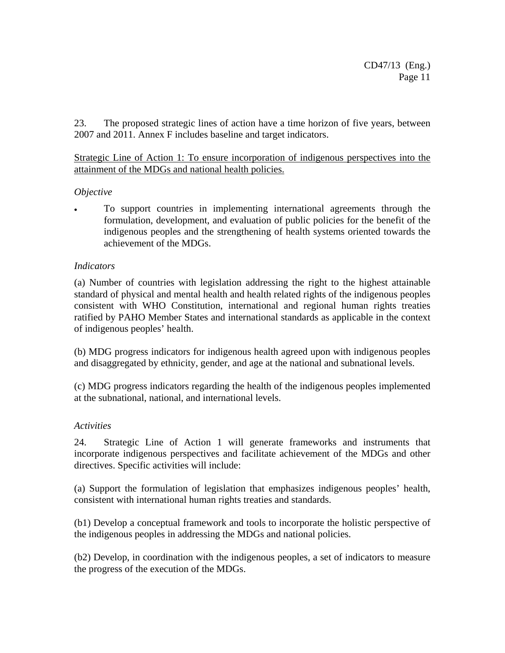23. The proposed strategic lines of action have a time horizon of five years, between 2007 and 2011. Annex F includes baseline and target indicators.

Strategic Line of Action 1: To ensure incorporation of indigenous perspectives into the attainment of the MDGs and national health policies.

## *Objective*

• To support countries in implementing international agreements through the formulation, development, and evaluation of public policies for the benefit of the indigenous peoples and the strengthening of health systems oriented towards the achievement of the MDGs.

#### *Indicators*

(a) Number of countries with legislation addressing the right to the highest attainable standard of physical and mental health and health related rights of the indigenous peoples consistent with WHO Constitution, international and regional human rights treaties ratified by PAHO Member States and international standards as applicable in the context of indigenous peoples' health.

(b) MDG progress indicators for indigenous health agreed upon with indigenous peoples and disaggregated by ethnicity, gender, and age at the national and subnational levels.

(c) MDG progress indicators regarding the health of the indigenous peoples implemented at the subnational, national, and international levels.

#### *Activities*

24. Strategic Line of Action 1 will generate frameworks and instruments that incorporate indigenous perspectives and facilitate achievement of the MDGs and other directives. Specific activities will include:

(a) Support the formulation of legislation that emphasizes indigenous peoples' health, consistent with international human rights treaties and standards.

(b1) Develop a conceptual framework and tools to incorporate the holistic perspective of the indigenous peoples in addressing the MDGs and national policies.

(b2) Develop, in coordination with the indigenous peoples, a set of indicators to measure the progress of the execution of the MDGs.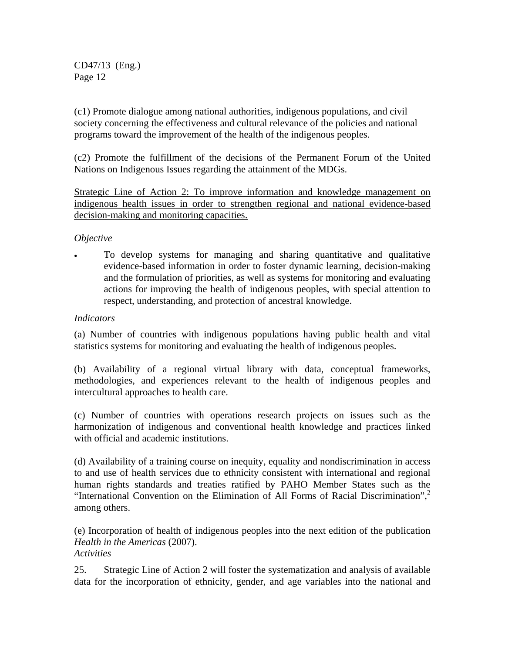(c1) Promote dialogue among national authorities, indigenous populations, and civil society concerning the effectiveness and cultural relevance of the policies and national programs toward the improvement of the health of the indigenous peoples.

(c2) Promote the fulfillment of the decisions of the Permanent Forum of the United Nations on Indigenous Issues regarding the attainment of the MDGs.

Strategic Line of Action 2: To improve information and knowledge management on indigenous health issues in order to strengthen regional and national evidence-based decision-making and monitoring capacities.

## *Objective*

• To develop systems for managing and sharing quantitative and qualitative evidence-based information in order to foster dynamic learning, decision-making and the formulation of priorities, as well as systems for monitoring and evaluating actions for improving the health of indigenous peoples, with special attention to respect, understanding, and protection of ancestral knowledge.

## *Indicators*

(a) Number of countries with indigenous populations having public health and vital statistics systems for monitoring and evaluating the health of indigenous peoples.

(b) Availability of a regional virtual library with data, conceptual frameworks, methodologies, and experiences relevant to the health of indigenous peoples and intercultural approaches to health care.

(c) Number of countries with operations research projects on issues such as the harmonization of indigenous and conventional health knowledge and practices linked with official and academic institutions.

(d) Availability of a training course on inequity, equality and nondiscrimination in access to and use of health services due to ethnicity consistent with international and regional human rights standards and treaties ratified by PAHO Member States such as the "International Convention on the Elimination of All Forms of Racial Discrimination",<sup>2</sup> among others.

(e) Incorporation of health of indigenous peoples into the next edition of the publication *Health in the Americas* (2007). *Activities*

25. Strategic Line of Action 2 will foster the systematization and analysis of available data for the incorporation of ethnicity, gender, and age variables into the national and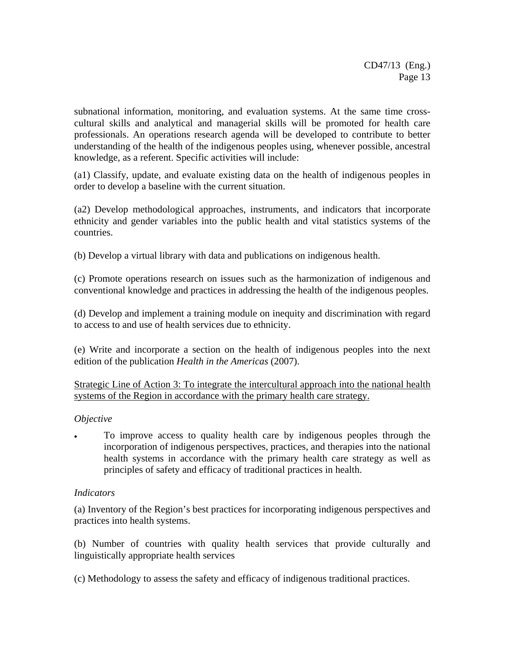subnational information, monitoring, and evaluation systems. At the same time crosscultural skills and analytical and managerial skills will be promoted for health care professionals. An operations research agenda will be developed to contribute to better understanding of the health of the indigenous peoples using, whenever possible, ancestral knowledge, as a referent. Specific activities will include:

(a1) Classify, update, and evaluate existing data on the health of indigenous peoples in order to develop a baseline with the current situation.

(a2) Develop methodological approaches, instruments, and indicators that incorporate ethnicity and gender variables into the public health and vital statistics systems of the countries.

(b) Develop a virtual library with data and publications on indigenous health.

(c) Promote operations research on issues such as the harmonization of indigenous and conventional knowledge and practices in addressing the health of the indigenous peoples.

(d) Develop and implement a training module on inequity and discrimination with regard to access to and use of health services due to ethnicity.

(e) Write and incorporate a section on the health of indigenous peoples into the next edition of the publication *Health in the Americas* (2007).

Strategic Line of Action 3: To integrate the intercultural approach into the national health systems of the Region in accordance with the primary health care strategy.

#### *Objective*

• To improve access to quality health care by indigenous peoples through the incorporation of indigenous perspectives, practices, and therapies into the national health systems in accordance with the primary health care strategy as well as principles of safety and efficacy of traditional practices in health.

#### *Indicators*

(a) Inventory of the Region's best practices for incorporating indigenous perspectives and practices into health systems.

(b) Number of countries with quality health services that provide culturally and linguistically appropriate health services

(c) Methodology to assess the safety and efficacy of indigenous traditional practices.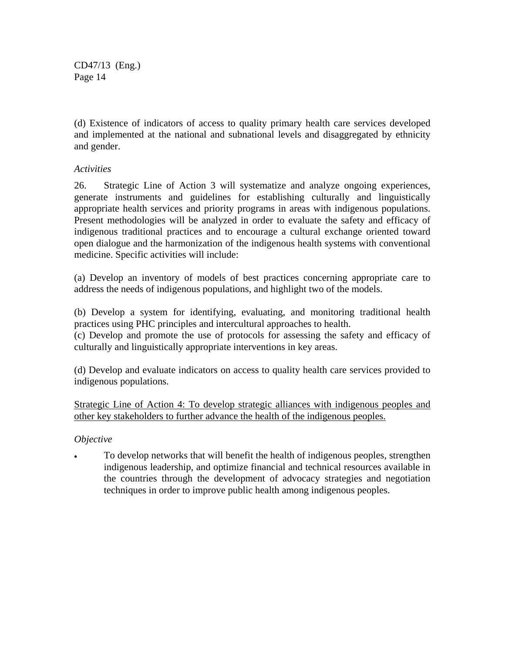(d) Existence of indicators of access to quality primary health care services developed and implemented at the national and subnational levels and disaggregated by ethnicity and gender.

## *Activities*

26. Strategic Line of Action 3 will systematize and analyze ongoing experiences, generate instruments and guidelines for establishing culturally and linguistically appropriate health services and priority programs in areas with indigenous populations. Present methodologies will be analyzed in order to evaluate the safety and efficacy of indigenous traditional practices and to encourage a cultural exchange oriented toward open dialogue and the harmonization of the indigenous health systems with conventional medicine. Specific activities will include:

(a) Develop an inventory of models of best practices concerning appropriate care to address the needs of indigenous populations, and highlight two of the models.

(b) Develop a system for identifying, evaluating, and monitoring traditional health practices using PHC principles and intercultural approaches to health.

(c) Develop and promote the use of protocols for assessing the safety and efficacy of culturally and linguistically appropriate interventions in key areas.

(d) Develop and evaluate indicators on access to quality health care services provided to indigenous populations.

Strategic Line of Action 4: To develop strategic alliances with indigenous peoples and other key stakeholders to further advance the health of the indigenous peoples.

#### *Objective*

• To develop networks that will benefit the health of indigenous peoples, strengthen indigenous leadership, and optimize financial and technical resources available in the countries through the development of advocacy strategies and negotiation techniques in order to improve public health among indigenous peoples.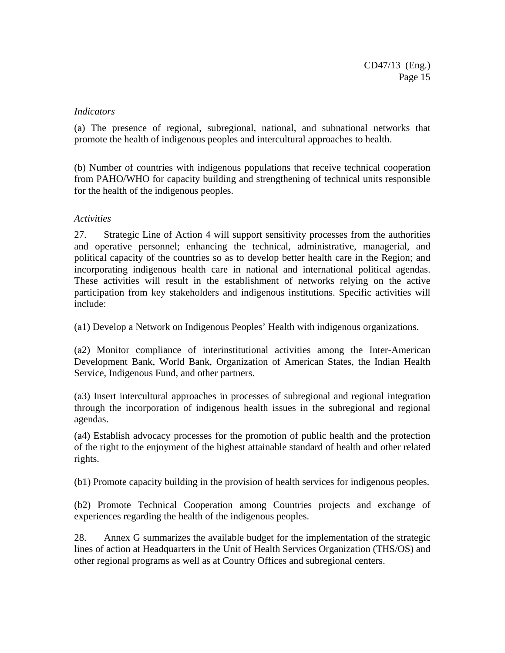#### *Indicators*

(a) The presence of regional, subregional, national, and subnational networks that promote the health of indigenous peoples and intercultural approaches to health.

(b) Number of countries with indigenous populations that receive technical cooperation from PAHO/WHO for capacity building and strengthening of technical units responsible for the health of the indigenous peoples.

## *Activities*

27. Strategic Line of Action 4 will support sensitivity processes from the authorities and operative personnel; enhancing the technical, administrative, managerial, and political capacity of the countries so as to develop better health care in the Region; and incorporating indigenous health care in national and international political agendas. These activities will result in the establishment of networks relying on the active participation from key stakeholders and indigenous institutions. Specific activities will include:

(a1) Develop a Network on Indigenous Peoples' Health with indigenous organizations.

(a2) Monitor compliance of interinstitutional activities among the Inter-American Development Bank, World Bank, Organization of American States, the Indian Health Service, Indigenous Fund, and other partners.

(a3) Insert intercultural approaches in processes of subregional and regional integration through the incorporation of indigenous health issues in the subregional and regional agendas.

(a4) Establish advocacy processes for the promotion of public health and the protection of the right to the enjoyment of the highest attainable standard of health and other related rights.

(b1) Promote capacity building in the provision of health services for indigenous peoples.

(b2) Promote Technical Cooperation among Countries projects and exchange of experiences regarding the health of the indigenous peoples.

28. Annex G summarizes the available budget for the implementation of the strategic lines of action at Headquarters in the Unit of Health Services Organization (THS/OS) and other regional programs as well as at Country Offices and subregional centers.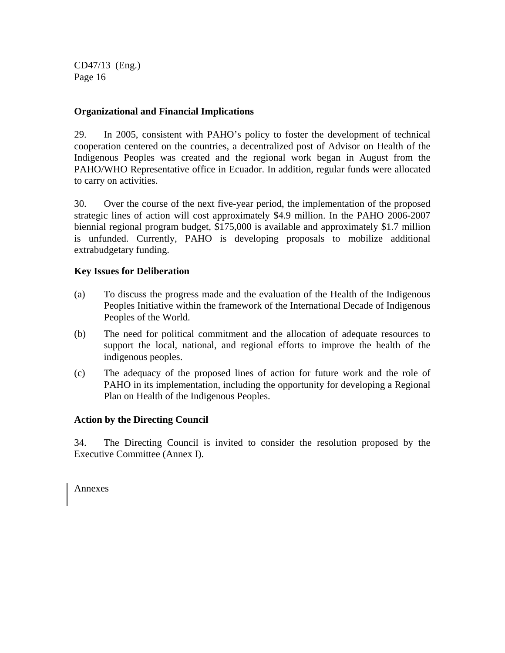## **Organizational and Financial Implications**

29. In 2005, consistent with PAHO's policy to foster the development of technical cooperation centered on the countries, a decentralized post of Advisor on Health of the Indigenous Peoples was created and the regional work began in August from the PAHO/WHO Representative office in Ecuador. In addition, regular funds were allocated to carry on activities.

30. Over the course of the next five-year period, the implementation of the proposed strategic lines of action will cost approximately \$4.9 million. In the PAHO 2006-2007 biennial regional program budget, \$175,000 is available and approximately \$1.7 million is unfunded. Currently, PAHO is developing proposals to mobilize additional extrabudgetary funding.

## **Key Issues for Deliberation**

- (a) To discuss the progress made and the evaluation of the Health of the Indigenous Peoples Initiative within the framework of the International Decade of Indigenous Peoples of the World.
- (b) The need for political commitment and the allocation of adequate resources to support the local, national, and regional efforts to improve the health of the indigenous peoples.
- (c) The adequacy of the proposed lines of action for future work and the role of PAHO in its implementation, including the opportunity for developing a Regional Plan on Health of the Indigenous Peoples.

## **Action by the Directing Council**

34. The Directing Council is invited to consider the resolution proposed by the Executive Committee (Annex I).

Annexes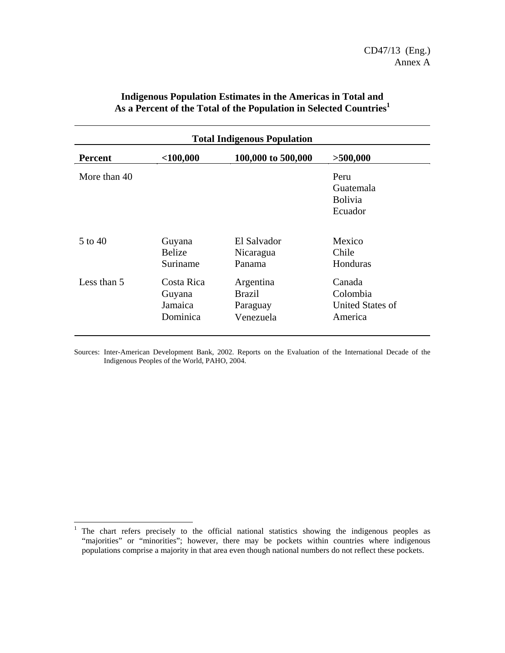| <b>Total Indigenous Population</b>                              |                                             |                                                     |                                                   |  |  |  |
|-----------------------------------------------------------------|---------------------------------------------|-----------------------------------------------------|---------------------------------------------------|--|--|--|
| $<$ 100,000<br>100,000 to 500,000<br>>500,000<br><b>Percent</b> |                                             |                                                     |                                                   |  |  |  |
| More than 40                                                    |                                             |                                                     | Peru<br>Guatemala<br><b>Bolivia</b><br>Ecuador    |  |  |  |
| $5$ to $40$                                                     | Guyana<br><b>Belize</b><br>Suriname         | El Salvador<br>Nicaragua<br>Panama                  | Mexico<br>Chile<br>Honduras                       |  |  |  |
| Less than 5                                                     | Costa Rica<br>Guyana<br>Jamaica<br>Dominica | Argentina<br><b>Brazil</b><br>Paraguay<br>Venezuela | Canada<br>Colombia<br>United States of<br>America |  |  |  |

## **Indigenous Population Estimates in the Americas in Total and As a Percent of the Total of the Population in Selected Countries1**

Sources: Inter-American Development Bank, 2002. Reports on the Evaluation of the International Decade of the Indigenous Peoples of the World, PAHO, 2004.

<sup>|&</sup>lt;br>| The chart refers precisely to the official national statistics showing the indigenous peoples as "majorities" or "minorities"; however, there may be pockets within countries where indigenous populations comprise a majority in that area even though national numbers do not reflect these pockets.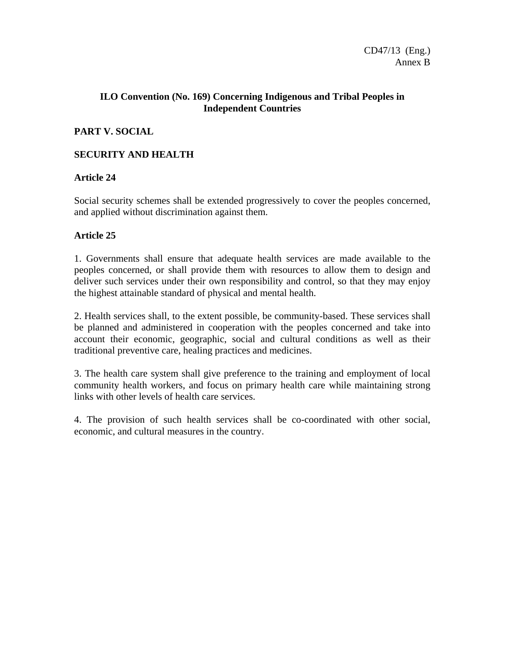## **ILO Convention (No. 169) Concerning Indigenous and Tribal Peoples in Independent Countries**

## **PART V. SOCIAL**

## **SECURITY AND HEALTH**

## **Article 24**

Social security schemes shall be extended progressively to cover the peoples concerned, and applied without discrimination against them.

## **Article 25**

1. Governments shall ensure that adequate health services are made available to the peoples concerned, or shall provide them with resources to allow them to design and deliver such services under their own responsibility and control, so that they may enjoy the highest attainable standard of physical and mental health.

2. Health services shall, to the extent possible, be community-based. These services shall be planned and administered in cooperation with the peoples concerned and take into account their economic, geographic, social and cultural conditions as well as their traditional preventive care, healing practices and medicines.

3. The health care system shall give preference to the training and employment of local community health workers, and focus on primary health care while maintaining strong links with other levels of health care services.

4. The provision of such health services shall be co-coordinated with other social, economic, and cultural measures in the country.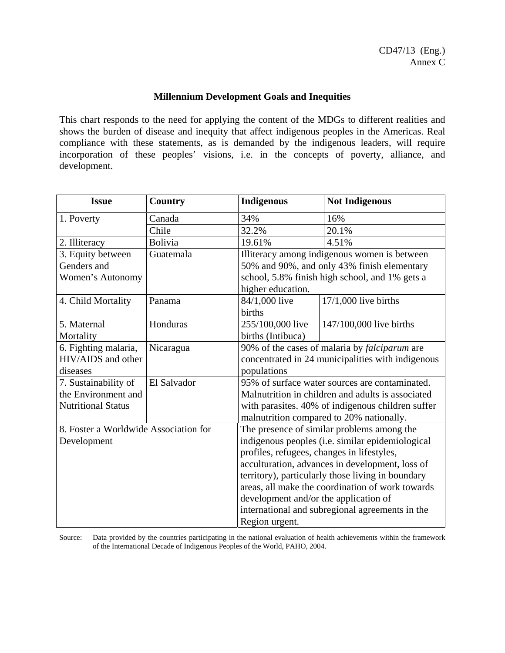### **Millennium Development Goals and Inequities**

This chart responds to the need for applying the content of the MDGs to different realities and shows the burden of disease and inequity that affect indigenous peoples in the Americas. Real compliance with these statements, as is demanded by the indigenous leaders, will require incorporation of these peoples' visions, i.e. in the concepts of poverty, alliance, and development.

| <b>Issue</b>                          | <b>Country</b> | <b>Indigenous</b>                                 | <b>Not Indigenous</b>                                |  |
|---------------------------------------|----------------|---------------------------------------------------|------------------------------------------------------|--|
| 1. Poverty                            | Canada         | 34%                                               | 16%                                                  |  |
|                                       | Chile          | 32.2%                                             | 20.1%                                                |  |
| 2. Illiteracy                         | <b>Bolivia</b> | 19.61%                                            | 4.51%                                                |  |
| 3. Equity between                     | Guatemala      |                                                   | Illiteracy among indigenous women is between         |  |
| Genders and                           |                |                                                   | 50% and 90%, and only 43% finish elementary          |  |
| Women's Autonomy                      |                |                                                   | school, 5.8% finish high school, and 1% gets a       |  |
|                                       |                | higher education.                                 |                                                      |  |
| 4. Child Mortality                    | Panama         | 84/1,000 live                                     | $17/1,000$ live births                               |  |
|                                       |                | births                                            |                                                      |  |
| 5. Maternal                           | Honduras       | 255/100,000 live                                  | 147/100,000 live births                              |  |
| Mortality                             |                | births (Intibuca)                                 |                                                      |  |
| 6. Fighting malaria,                  | Nicaragua      |                                                   | 90% of the cases of malaria by <i>falciparum</i> are |  |
| HIV/AIDS and other                    |                |                                                   | concentrated in 24 municipalities with indigenous    |  |
| diseases                              |                | populations                                       |                                                      |  |
| 7. Sustainability of                  | El Salvador    |                                                   | 95% of surface water sources are contaminated.       |  |
| the Environment and                   |                |                                                   | Malnutrition in children and adults is associated    |  |
| <b>Nutritional Status</b>             |                | with parasites. 40% of indigenous children suffer |                                                      |  |
|                                       |                | malnutrition compared to 20% nationally.          |                                                      |  |
| 8. Foster a Worldwide Association for |                |                                                   | The presence of similar problems among the           |  |
| Development                           |                |                                                   | indigenous peoples (i.e. similar epidemiological     |  |
|                                       |                | profiles, refugees, changes in lifestyles,        |                                                      |  |
|                                       |                | acculturation, advances in development, loss of   |                                                      |  |
|                                       |                | territory), particularly those living in boundary |                                                      |  |
|                                       |                | areas, all make the coordination of work towards  |                                                      |  |
|                                       |                | development and/or the application of             |                                                      |  |
|                                       |                | international and subregional agreements in the   |                                                      |  |
|                                       |                | Region urgent.                                    |                                                      |  |

Source: Data provided by the countries participating in the national evaluation of health achievements within the framework of the International Decade of Indigenous Peoples of the World, PAHO, 2004.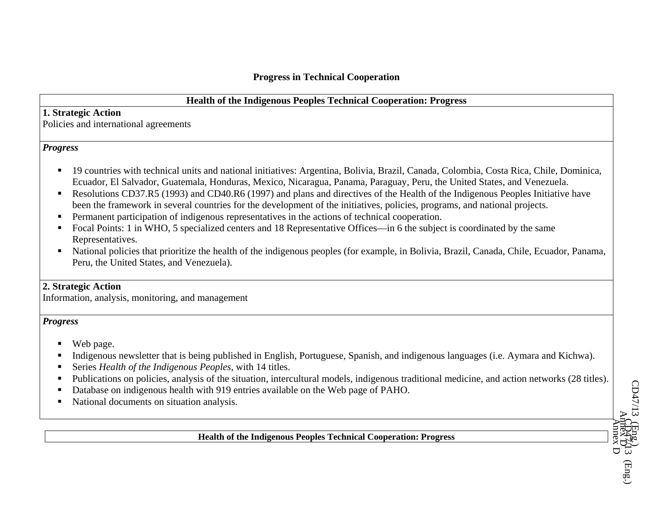## **Health of the Indigenous Peoples Technical Cooperation: Progress**

## **1. Strategic Action**

Policies and international agreements

## *Progress*

- 19 countries with technical units and national initiatives: Argentina, Bolivia, Brazil, Canada, Colombia, Costa Rica, Chile, Dominica, Ecuador, El Salvador, Guatemala, Honduras, Mexico, Nicaragua, Panama, Paraguay, Peru, the United States, and Venezuela.
- Resolutions CD37.R5 (1993) and CD40.R6 (1997) and plans and directives of the Health of the Indigenous Peoples Initiative have been the framework in several countries for the development of the initiatives, policies, programs, and national projects.
- Permanent participation of indigenous representatives in the actions of technical cooperation.
- $\blacksquare$  Focal Points: 1 in WHO, 5 specialized centers and 18 Representative Offices—in 6 the subject is coordinated by the same Representatives.
- National policies that prioritize the health of the indigenous peoples (for example, in Bolivia, Brazil, Canada, Chile, Ecuador, Panama, Peru, the United States, and Venezuela).

## **2. Strategic Action**

Information, analysis, monitoring, and management

## *Progress*

- Web page.
- Indigenous newsletter that is being published in English, Portuguese, Spanish, and indigenous languages (i.e. Aymara and Kichwa).
- Series *Health of the Indigenous Peoples*, with 14 titles.
- Publications on policies, analysis of the situation, intercultural models, indigenous traditional medicine, and action networks (28 titles).
- $\blacksquare$ Database on indigenous health with 919 entries available on the Web page of PAHO.
- National documents on situation analysis.

**Health of the Indigenous Peoples Technical Cooperation: Progress**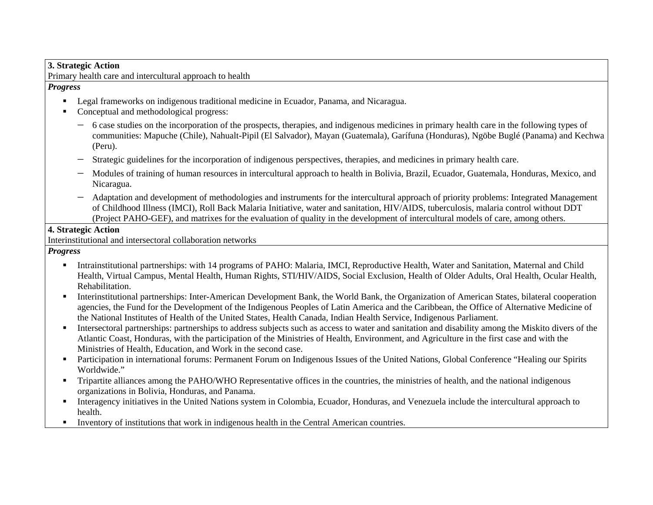#### **3. Strategic Action**

Primary health care and intercultural approach to health

*Progress* 

- **Legal frameworks on indigenous traditional medicine in Ecuador, Panama, and Nicaragua.**
- Conceptual and methodological progress:
	- − 6 case studies on the incorporation of the prospects, therapies, and indigenous medicines in primary health care in the following types of communities: Mapuche (Chile), Nahualt-Pipil (El Salvador), Mayan (Guatemala), Garífuna (Honduras), Ngöbe Buglé (Panama) and Kechwa (Peru).
	- − Strategic guidelines for the incorporation of indigenous perspectives, therapies, and medicines in primary health care.
	- − Modules of training of human resources in intercultural approach to health in Bolivia, Brazil, Ecuador, Guatemala, Honduras, Mexico, and Nicaragua.
	- − Adaptation and development of methodologies and instruments for the intercultural approach of priority problems: Integrated Management of Childhood Illness (IMCI), Roll Back Malaria Initiative, water and sanitation, HIV/AIDS, tuberculosis, malaria control without DDT (Project PAHO-GEF), and matrixes for the evaluation of quality in the development of intercultural models of care, among others.

#### **4. Strategic Action**

Interinstitutional and intersectoral collaboration networks

*Progress* 

- Intrainstitutional partnerships: with 14 programs of PAHO: Malaria, IMCI, Reproductive Health, Water and Sanitation, Maternal and Child Health, Virtual Campus, Mental Health, Human Rights, STI/HIV/AIDS, Social Exclusion, Health of Older Adults, Oral Health, Ocular Health, Rehabilitation.
- $\blacksquare$  Interinstitutional partnerships: Inter-American Development Bank, the World Bank, the Organization of American States, bilateral cooperation agencies, the Fund for the Development of the Indigenous Peoples of Latin America and the Caribbean, the Office of Alternative Medicine of the National Institutes of Health of the United States, Health Canada, Indian Health Service, Indigenous Parliament.
- $\mathbf{u}$  . Intersectoral partnerships: partnerships to address subjects such as access to water and sanitation and disability among the Miskito divers of the Atlantic Coast, Honduras, with the participation of the Ministries of Health, Environment, and Agriculture in the first case and with the Ministries of Health, Education, and Work in the second case.
- **Participation in international forums: Permanent Forum on Indigenous Issues of the United Nations, Global Conference "Healing our Spirits** Worldwide."
- Tripartite alliances among the PAHO/WHO Representative offices in the countries, the ministries of health, and the national indigenous organizations in Bolivia, Honduras, and Panama.
- Interagency initiatives in the United Nations system in Colombia, Ecuador, Honduras, and Venezuela include the intercultural approach to health.
- Inventory of institutions that work in indigenous health in the Central American countries.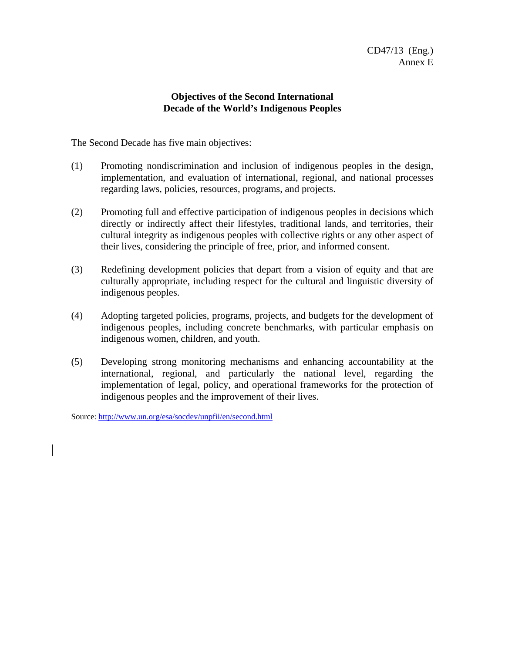## **Objectives of the Second International Decade of the World's Indigenous Peoples**

The Second Decade has five main objectives:

- (1) Promoting nondiscrimination and inclusion of indigenous peoples in the design, implementation, and evaluation of international, regional, and national processes regarding laws, policies, resources, programs, and projects.
- (2) Promoting full and effective participation of indigenous peoples in decisions which directly or indirectly affect their lifestyles, traditional lands, and territories, their cultural integrity as indigenous peoples with collective rights or any other aspect of their lives, considering the principle of free, prior, and informed consent.
- (3) Redefining development policies that depart from a vision of equity and that are culturally appropriate, including respect for the cultural and linguistic diversity of indigenous peoples.
- (4) Adopting targeted policies, programs, projects, and budgets for the development of indigenous peoples, including concrete benchmarks, with particular emphasis on indigenous women, children, and youth.
- (5) Developing strong monitoring mechanisms and enhancing accountability at the international, regional, and particularly the national level, regarding the implementation of legal, policy, and operational frameworks for the protection of indigenous peoples and the improvement of their lives.

Source: http://www.un.org/esa/socdev/unpfii/en/second.html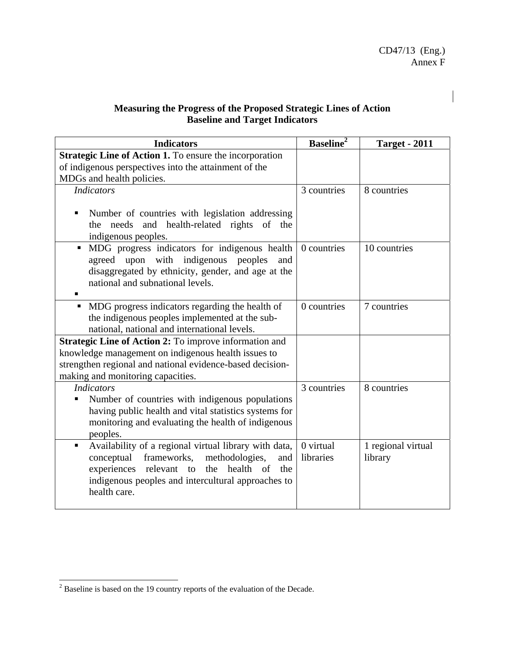## **Measuring the Progress of the Proposed Strategic Lines of Action Baseline and Target Indicators**

| <b>Indicators</b>                                                                                                                                                                                                                         | <b>Baseline</b> <sup>2</sup> | <b>Target - 2011</b>          |
|-------------------------------------------------------------------------------------------------------------------------------------------------------------------------------------------------------------------------------------------|------------------------------|-------------------------------|
| <b>Strategic Line of Action 1.</b> To ensure the incorporation                                                                                                                                                                            |                              |                               |
| of indigenous perspectives into the attainment of the                                                                                                                                                                                     |                              |                               |
| MDGs and health policies.                                                                                                                                                                                                                 |                              |                               |
| <b>Indicators</b>                                                                                                                                                                                                                         | 3 countries                  | 8 countries                   |
| Number of countries with legislation addressing<br>and health-related rights of<br>needs<br>the<br>the<br>indigenous peoples.                                                                                                             |                              |                               |
| MDG progress indicators for indigenous health<br>$\blacksquare$<br>agreed upon with indigenous peoples<br>and<br>disaggregated by ethnicity, gender, and age at the<br>national and subnational levels.                                   | 0 countries                  | 10 countries                  |
| MDG progress indicators regarding the health of<br>the indigenous peoples implemented at the sub-<br>national, national and international levels.                                                                                         | 0 countries                  | 7 countries                   |
| <b>Strategic Line of Action 2:</b> To improve information and<br>knowledge management on indigenous health issues to<br>strengthen regional and national evidence-based decision-<br>making and monitoring capacities.                    |                              |                               |
| <b>Indicators</b><br>Number of countries with indigenous populations<br>having public health and vital statistics systems for<br>monitoring and evaluating the health of indigenous<br>peoples.                                           | 3 countries                  | 8 countries                   |
| Availability of a regional virtual library with data,<br>٠<br>conceptual frameworks,<br>methodologies,<br>and<br>experiences relevant to<br>the health<br>of<br>the<br>indigenous peoples and intercultural approaches to<br>health care. | 0 virtual<br>libraries       | 1 regional virtual<br>library |

<sup>&</sup>lt;sup>2</sup> Baseline is based on the 19 country reports of the evaluation of the Decade.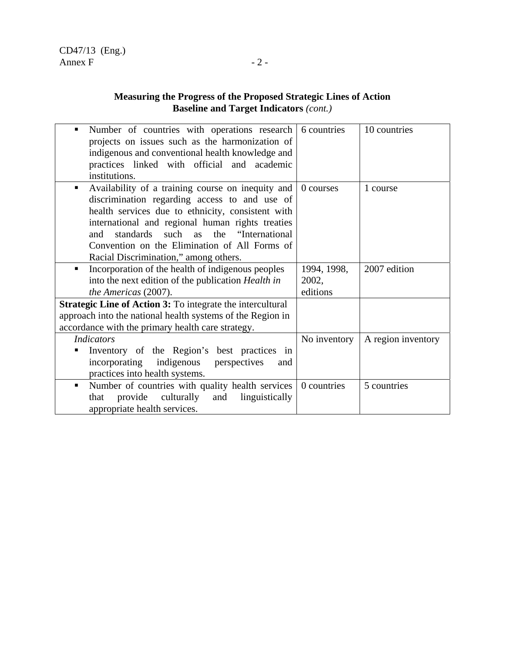## **Measuring the Progress of the Proposed Strategic Lines of Action Baseline and Target Indicators** *(cont.)*

| Number of countries with operations research<br>٠<br>projects on issues such as the harmonization of<br>indigenous and conventional health knowledge and<br>practices linked with official and academic<br>institutions.                                                                                                                              | 6 countries  | 10 countries       |
|-------------------------------------------------------------------------------------------------------------------------------------------------------------------------------------------------------------------------------------------------------------------------------------------------------------------------------------------------------|--------------|--------------------|
| Availability of a training course on inequity and<br>discrimination regarding access to and use of<br>health services due to ethnicity, consistent with<br>international and regional human rights treaties<br>standards such as the "International"<br>and<br>Convention on the Elimination of All Forms of<br>Racial Discrimination," among others. | 0 courses    | 1 course           |
| Incorporation of the health of indigenous peoples<br>٠                                                                                                                                                                                                                                                                                                | 1994, 1998,  | 2007 edition       |
| into the next edition of the publication <i>Health in</i>                                                                                                                                                                                                                                                                                             | 2002,        |                    |
| the Americas (2007).                                                                                                                                                                                                                                                                                                                                  | editions     |                    |
| <b>Strategic Line of Action 3:</b> To integrate the intercultural                                                                                                                                                                                                                                                                                     |              |                    |
| approach into the national health systems of the Region in                                                                                                                                                                                                                                                                                            |              |                    |
| accordance with the primary health care strategy.                                                                                                                                                                                                                                                                                                     |              |                    |
| <b>Indicators</b>                                                                                                                                                                                                                                                                                                                                     | No inventory | A region inventory |
| Inventory of the Region's best practices in                                                                                                                                                                                                                                                                                                           |              |                    |
| incorporating indigenous perspectives<br>and                                                                                                                                                                                                                                                                                                          |              |                    |
| practices into health systems.                                                                                                                                                                                                                                                                                                                        |              |                    |
| Number of countries with quality health services<br>$\blacksquare$                                                                                                                                                                                                                                                                                    | 0 countries  | 5 countries        |
| provide culturally<br>linguistically<br>that<br>and                                                                                                                                                                                                                                                                                                   |              |                    |
| appropriate health services.                                                                                                                                                                                                                                                                                                                          |              |                    |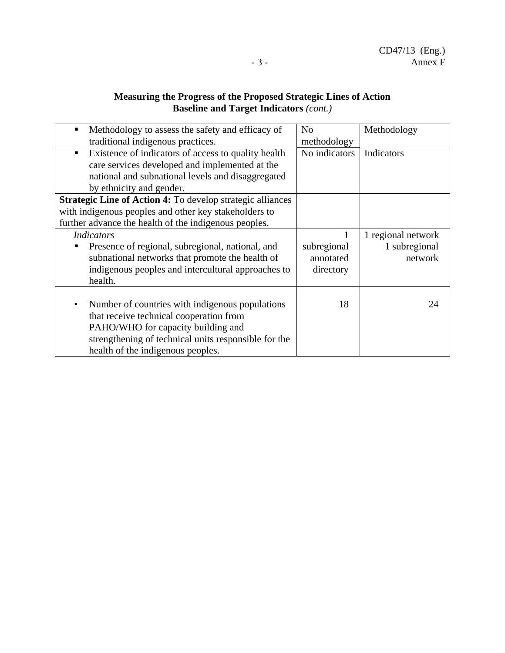# **Measuring the Progress of the Proposed Strategic Lines of Action Baseline and Target Indicators** *(cont.)*

| Methodology to assess the safety and efficacy of<br>traditional indigenous practices.                                                                                                                                         | N <sub>0</sub><br>methodology         | Methodology                                    |
|-------------------------------------------------------------------------------------------------------------------------------------------------------------------------------------------------------------------------------|---------------------------------------|------------------------------------------------|
| Existence of indicators of access to quality health<br>$\blacksquare$<br>care services developed and implemented at the<br>national and subnational levels and disaggregated<br>by ethnicity and gender.                      | No indicators                         | Indicators                                     |
| Strategic Line of Action 4: To develop strategic alliances<br>with indigenous peoples and other key stakeholders to<br>further advance the health of the indigenous peoples.                                                  |                                       |                                                |
| <b>Indicators</b><br>Presence of regional, subregional, national, and<br>subnational networks that promote the health of<br>indigenous peoples and intercultural approaches to<br>health.                                     | subregional<br>annotated<br>directory | 1 regional network<br>1 subregional<br>network |
| Number of countries with indigenous populations<br>that receive technical cooperation from<br>PAHO/WHO for capacity building and<br>strengthening of technical units responsible for the<br>health of the indigenous peoples. | 18                                    | 24                                             |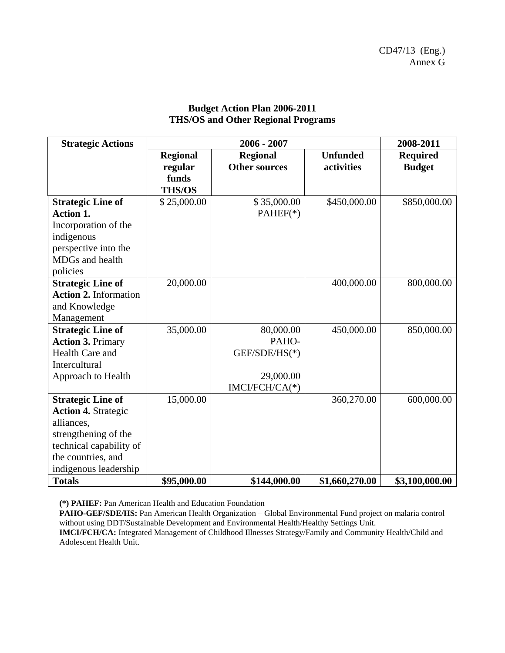| <b>Strategic Actions</b>                                                                                                                                                                | 2006 - 2007                                          |                                                                    |                               | 2008-2011                        |
|-----------------------------------------------------------------------------------------------------------------------------------------------------------------------------------------|------------------------------------------------------|--------------------------------------------------------------------|-------------------------------|----------------------------------|
|                                                                                                                                                                                         | <b>Regional</b><br>regular<br>funds<br><b>THS/OS</b> | <b>Regional</b><br><b>Other sources</b>                            | <b>Unfunded</b><br>activities | <b>Required</b><br><b>Budget</b> |
| <b>Strategic Line of</b><br><b>Action 1.</b><br>Incorporation of the<br>indigenous<br>perspective into the<br>MDGs and health<br>policies                                               | \$25,000.00                                          | \$35,000.00<br>$PAHEF(*)$                                          | \$450,000.00                  | \$850,000.00                     |
| <b>Strategic Line of</b><br><b>Action 2. Information</b><br>and Knowledge<br>Management                                                                                                 | 20,000.00                                            |                                                                    | 400,000.00                    | 800,000.00                       |
| <b>Strategic Line of</b><br><b>Action 3. Primary</b><br>Health Care and<br>Intercultural<br>Approach to Health                                                                          | 35,000.00                                            | 80,000.00<br>PAHO-<br>GEF/SDE/HS(*)<br>29,000.00<br>IMCI/FCH/CA(*) | 450,000.00                    | 850,000.00                       |
| <b>Strategic Line of</b><br><b>Action 4. Strategic</b><br>alliances,<br>strengthening of the<br>technical capability of<br>the countries, and<br>indigenous leadership<br><b>Totals</b> | 15,000.00<br>\$95,000.00                             | \$144,000.00                                                       | 360,270.00<br>\$1,660,270.00  | 600,000.00<br>\$3,100,000.00     |

## **Budget Action Plan 2006-2011 THS/OS and Other Regional Programs**

**(\*) PAHEF:** Pan American Health and Education Foundation

**PAHO-GEF/SDE/HS:** Pan American Health Organization – Global Environmental Fund project on malaria control without using DDT/Sustainable Development and Environmental Health/Healthy Settings Unit.

**IMCI/FCH/CA:** Integrated Management of Childhood Illnesses Strategy/Family and Community Health/Child and Adolescent Health Unit.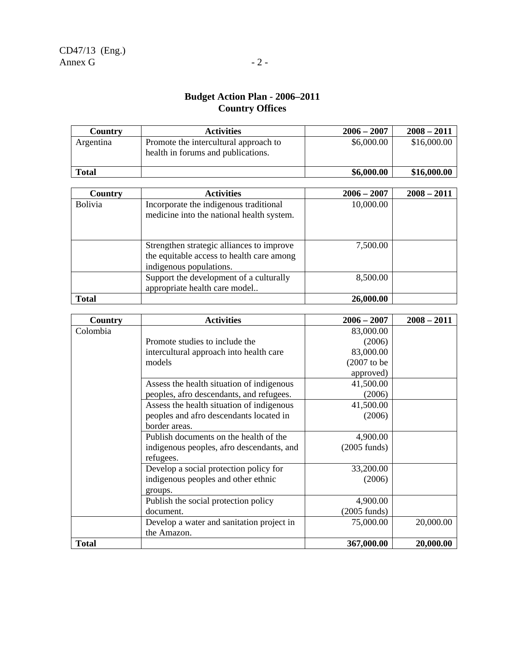## **Budget Action Plan - 2006–2011 Country Offices**

| Country      | <b>Activities</b>                                                           | $2006 - 2007$ | $2008 - 2011$ |
|--------------|-----------------------------------------------------------------------------|---------------|---------------|
| Argentina    | Promote the intercultural approach to<br>health in forums and publications. | \$6,000.00    | \$16,000.00   |
| <b>Total</b> |                                                                             | \$6,000.00    | \$16,000.00   |

| Country        | <b>Activities</b>                                                                                                 | $2006 - 2007$ | $2008 - 2011$ |
|----------------|-------------------------------------------------------------------------------------------------------------------|---------------|---------------|
| <b>Bolivia</b> | Incorporate the indigenous traditional<br>medicine into the national health system.                               | 10,000.00     |               |
|                | Strengthen strategic alliances to improve<br>the equitable access to health care among<br>indigenous populations. | 7,500.00      |               |
|                | Support the development of a culturally<br>appropriate health care model                                          | 8,500.00      |               |
| <b>Total</b>   |                                                                                                                   | 26,000.00     |               |

| Country      | <b>Activities</b>                         | $2006 - 2007$          | $2008 - 2011$ |
|--------------|-------------------------------------------|------------------------|---------------|
| Colombia     |                                           | 83,000.00              |               |
|              | Promote studies to include the            | (2006)                 |               |
|              | intercultural approach into health care   | 83,000.00              |               |
|              | models                                    | $(2007$ to be          |               |
|              |                                           | approved)              |               |
|              | Assess the health situation of indigenous | 41,500.00              |               |
|              | peoples, afro descendants, and refugees.  | (2006)                 |               |
|              | Assess the health situation of indigenous | 41,500.00              |               |
|              | peoples and afro descendants located in   | (2006)                 |               |
|              | border areas.                             |                        |               |
|              | Publish documents on the health of the    | 4,900.00               |               |
|              | indigenous peoples, afro descendants, and | $(2005 \text{ funds})$ |               |
|              | refugees.                                 |                        |               |
|              | Develop a social protection policy for    | 33,200.00              |               |
|              | indigenous peoples and other ethnic       | (2006)                 |               |
|              | groups.                                   |                        |               |
|              | Publish the social protection policy      | 4,900.00               |               |
|              | document.                                 | $(2005 \text{ funds})$ |               |
|              | Develop a water and sanitation project in | 75,000.00              | 20,000.00     |
|              | the Amazon.                               |                        |               |
| <b>Total</b> |                                           | 367,000.00             | 20,000.00     |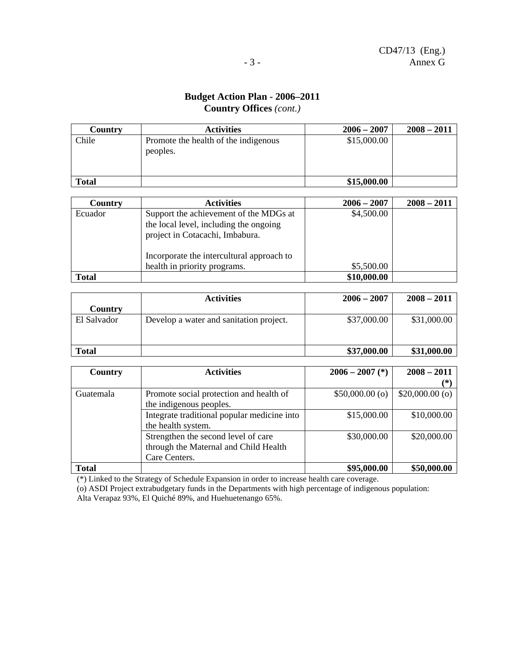## **Budget Action Plan - 2006–2011 Country Offices** *(cont.)*

| Country      | <b>Activities</b>                                | $2006 - 2007$ | $2008 - 2011$ |
|--------------|--------------------------------------------------|---------------|---------------|
| Chile        | Promote the health of the indigenous<br>peoples. | \$15,000.00   |               |
|              |                                                  |               |               |
| <b>Total</b> |                                                  | \$15,000.00   |               |

| Country      | <b>Activities</b>                                                                                                   | $2006 - 2007$ | $2008 - 2011$ |
|--------------|---------------------------------------------------------------------------------------------------------------------|---------------|---------------|
| Ecuador      | Support the achievement of the MDGs at<br>the local level, including the ongoing<br>project in Cotacachi, Imbabura. | \$4,500.00    |               |
|              | Incorporate the intercultural approach to                                                                           |               |               |
|              | health in priority programs.                                                                                        | \$5,500.00    |               |
| <b>Total</b> |                                                                                                                     | \$10,000.00   |               |

|              | <b>Activities</b>                       | $2006 - 2007$ | $2008 - 2011$ |
|--------------|-----------------------------------------|---------------|---------------|
| Country      |                                         |               |               |
| El Salvador  | Develop a water and sanitation project. | \$37,000.00   | \$31,000.00   |
| <b>Total</b> |                                         | \$37,000.00   | \$31,000.00   |

| Country      | <b>Activities</b>                           | $2006 - 2007$ (*) | $2008 - 2011$    |  |
|--------------|---------------------------------------------|-------------------|------------------|--|
|              |                                             |                   | (*`              |  |
| Guatemala    | Promote social protection and health of     | $$50,000.00$ (o)  | $$20,000.00$ (o) |  |
|              | the indigenous peoples.                     |                   |                  |  |
|              | Integrate traditional popular medicine into | \$15,000.00       | \$10,000.00      |  |
|              | the health system.                          |                   |                  |  |
|              | Strengthen the second level of care         | \$30,000.00       | \$20,000.00      |  |
|              | through the Maternal and Child Health       |                   |                  |  |
|              | Care Centers.                               |                   |                  |  |
| <b>Total</b> |                                             | \$95,000.00       | \$50,000.00      |  |

(\*) Linked to the Strategy of Schedule Expansion in order to increase health care coverage.

(o) ASDI Project extrabudgetary funds in the Departments with high percentage of indigenous population: Alta Verapaz 93%, El Quiché 89%, and Huehuetenango 65%.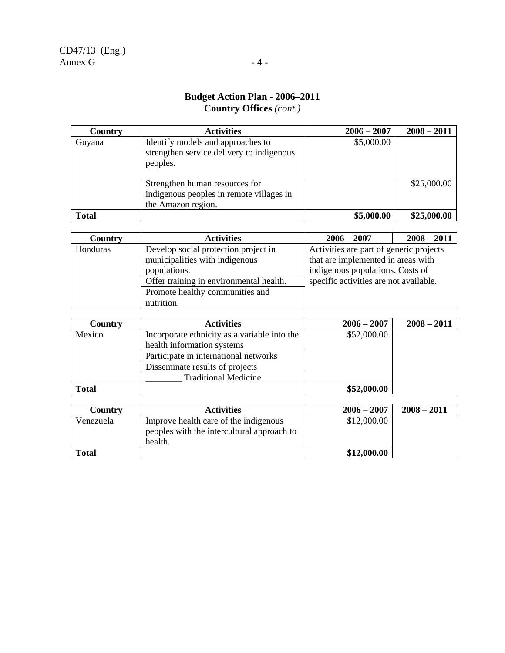## **Budget Action Plan - 2006–2011 Country Offices** *(cont.)*

| Country      | <b>Activities</b>                                                                                | $2006 - 2007$ | $2008 - 2011$ |
|--------------|--------------------------------------------------------------------------------------------------|---------------|---------------|
| Guyana       | Identify models and approaches to<br>strengthen service delivery to indigenous<br>peoples.       | \$5,000.00    |               |
|              | Strengthen human resources for<br>indigenous peoples in remote villages in<br>the Amazon region. |               | \$25,000.00   |
| <b>Total</b> |                                                                                                  | \$5,000.00    | \$25,000.00   |

| Country  | <b>Activities</b>                       | $2006 - 2007$                           | $2008 - 2011$ |  |
|----------|-----------------------------------------|-----------------------------------------|---------------|--|
| Honduras | Develop social protection project in    | Activities are part of generic projects |               |  |
|          | municipalities with indigenous          | that are implemented in areas with      |               |  |
|          | populations.                            | indigenous populations. Costs of        |               |  |
|          | Offer training in environmental health. | specific activities are not available.  |               |  |
|          | Promote healthy communities and         |                                         |               |  |
|          | nutrition.                              |                                         |               |  |

| Country      | <b>Activities</b>                            | $2006 - 2007$ | $2008 - 2011$ |
|--------------|----------------------------------------------|---------------|---------------|
| Mexico       | Incorporate ethnicity as a variable into the | \$52,000.00   |               |
|              | health information systems                   |               |               |
|              | Participate in international networks        |               |               |
|              | Disseminate results of projects              |               |               |
|              | <b>Traditional Medicine</b>                  |               |               |
| <b>Total</b> |                                              | \$52,000.00   |               |

| Countrv      | <b>Activities</b>                          | $2006 - 2007$ | $2008 - 2011$ |
|--------------|--------------------------------------------|---------------|---------------|
| Venezuela    | Improve health care of the indigenous      | \$12,000.00   |               |
|              | peoples with the intercultural approach to |               |               |
|              | health.                                    |               |               |
| <b>Total</b> |                                            | \$12,000.00   |               |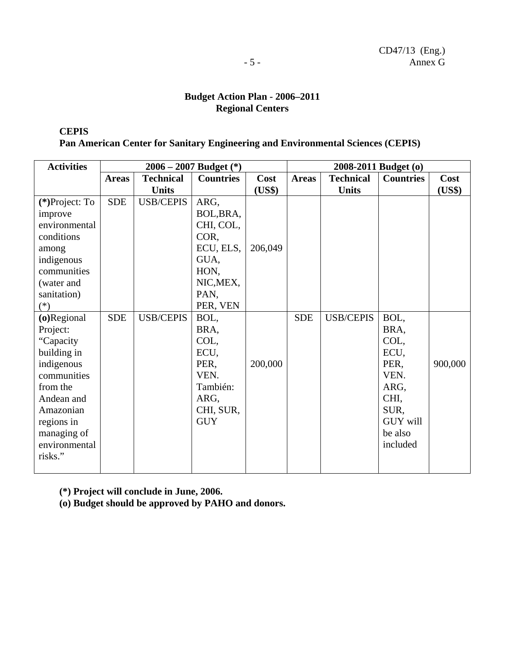## **Budget Action Plan - 2006–2011 Regional Centers**

**CEPIS** 

**Pan American Center for Sanitary Engineering and Environmental Sciences (CEPIS)** 

| <b>Activities</b> |              |                  | $2006 - 2007$ Budget $(*)$ | 2008-2011 Budget (o) |              |                  |                  |         |
|-------------------|--------------|------------------|----------------------------|----------------------|--------------|------------------|------------------|---------|
|                   | <b>Areas</b> | <b>Technical</b> | <b>Countries</b>           | Cost                 | <b>Areas</b> | <b>Technical</b> | <b>Countries</b> | Cost    |
|                   |              | <b>Units</b>     |                            | (US\$)               |              | <b>Units</b>     |                  | (US\$)  |
| (*)Project: To    | <b>SDE</b>   | <b>USB/CEPIS</b> | ARG,                       |                      |              |                  |                  |         |
| improve           |              |                  | BOL, BRA,                  |                      |              |                  |                  |         |
| environmental     |              |                  | CHI, COL,                  |                      |              |                  |                  |         |
| conditions        |              |                  | COR,                       |                      |              |                  |                  |         |
| among             |              |                  | ECU, ELS,                  | 206,049              |              |                  |                  |         |
| indigenous        |              |                  | GUA,                       |                      |              |                  |                  |         |
| communities       |              |                  | HON,                       |                      |              |                  |                  |         |
| (water and        |              |                  | NIC, MEX,                  |                      |              |                  |                  |         |
| sanitation)       |              |                  | PAN,                       |                      |              |                  |                  |         |
| $(*)$             |              |                  | PER, VEN                   |                      |              |                  |                  |         |
| (o)Regional       | <b>SDE</b>   | <b>USB/CEPIS</b> | BOL,                       |                      | <b>SDE</b>   | <b>USB/CEPIS</b> | BOL,             |         |
| Project:          |              |                  | BRA,                       |                      |              |                  | BRA,             |         |
| "Capacity         |              |                  | COL,                       |                      |              |                  | COL,             |         |
| building in       |              |                  | ECU,                       |                      |              |                  | ECU,             |         |
| indigenous        |              |                  | PER,                       | 200,000              |              |                  | PER,             | 900,000 |
| communities       |              |                  | VEN.                       |                      |              |                  | VEN.             |         |
| from the          |              |                  | También:                   |                      |              |                  | ARG,             |         |
| Andean and        |              |                  | ARG,                       |                      |              |                  | CHI,             |         |
| Amazonian         |              |                  | CHI, SUR,                  |                      |              |                  | SUR,             |         |
| regions in        |              |                  | <b>GUY</b>                 |                      |              |                  | <b>GUY will</b>  |         |
| managing of       |              |                  |                            |                      |              |                  | be also          |         |
| environmental     |              |                  |                            |                      |              |                  | included         |         |
| risks."           |              |                  |                            |                      |              |                  |                  |         |
|                   |              |                  |                            |                      |              |                  |                  |         |

**(\*) Project will conclude in June, 2006.** 

**(o) Budget should be approved by PAHO and donors.**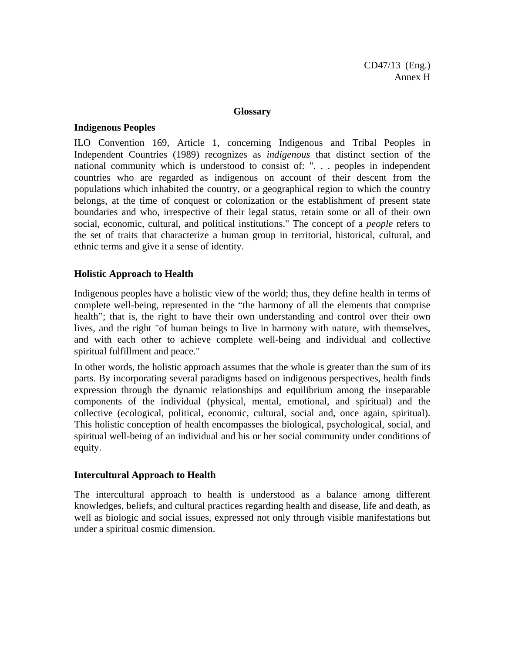#### **Glossary**

#### **Indigenous Peoples**

ILO Convention 169, Article 1, concerning Indigenous and Tribal Peoples in Independent Countries (1989) recognizes as *indigenous* that distinct section of the national community which is understood to consist of: ". . . peoples in independent countries who are regarded as indigenous on account of their descent from the populations which inhabited the country, or a geographical region to which the country belongs, at the time of conquest or colonization or the establishment of present state boundaries and who, irrespective of their legal status, retain some or all of their own social, economic, cultural, and political institutions." The concept of a *people* refers to the set of traits that characterize a human group in territorial, historical, cultural, and ethnic terms and give it a sense of identity.

#### **Holistic Approach to Health**

Indigenous peoples have a holistic view of the world; thus, they define health in terms of complete well-being, represented in the "the harmony of all the elements that comprise health"; that is, the right to have their own understanding and control over their own lives, and the right "of human beings to live in harmony with nature, with themselves, and with each other to achieve complete well-being and individual and collective spiritual fulfillment and peace."

In other words, the holistic approach assumes that the whole is greater than the sum of its parts. By incorporating several paradigms based on indigenous perspectives, health finds expression through the dynamic relationships and equilibrium among the inseparable components of the individual (physical, mental, emotional, and spiritual) and the collective (ecological, political, economic, cultural, social and, once again, spiritual). This holistic conception of health encompasses the biological, psychological, social, and spiritual well-being of an individual and his or her social community under conditions of equity.

#### **Intercultural Approach to Health**

The intercultural approach to health is understood as a balance among different knowledges, beliefs, and cultural practices regarding health and disease, life and death, as well as biologic and social issues, expressed not only through visible manifestations but under a spiritual cosmic dimension.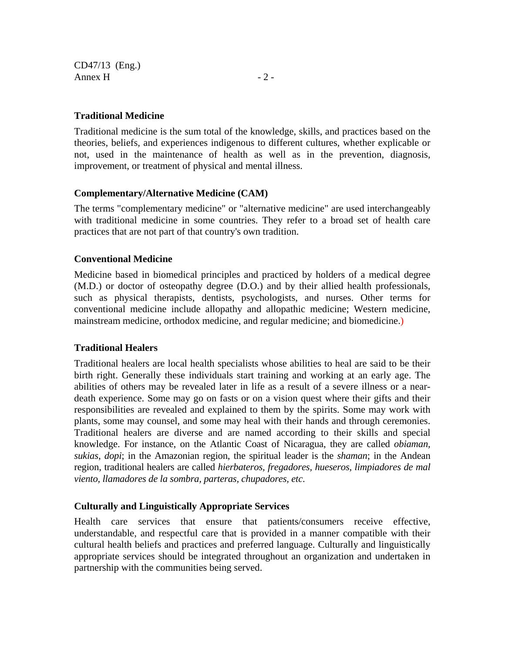CD47/13 (Eng.) Annex H  $-2$  -

## **Traditional Medicine**

Traditional medicine is the sum total of the knowledge, skills, and practices based on the theories, beliefs, and experiences indigenous to different cultures, whether explicable or not, used in the maintenance of health as well as in the prevention, diagnosis, improvement, or treatment of physical and mental illness.

## **Complementary/Alternative Medicine (CAM)**

The terms "complementary medicine" or "alternative medicine" are used interchangeably with traditional medicine in some countries. They refer to a broad set of health care practices that are not part of that country's own tradition.

## **Conventional Medicine**

Medicine based in biomedical principles and practiced by holders of a medical degree (M.D.) or doctor of osteopathy degree (D.O.) and by their allied health professionals, such as physical therapists, dentists, psychologists, and nurses. Other terms for conventional medicine include allopathy and allopathic medicine; Western medicine, mainstream medicine, orthodox medicine, and regular medicine; and biomedicine.)

#### **Traditional Healers**

Traditional healers are local health specialists whose abilities to heal are said to be their birth right. Generally these individuals start training and working at an early age. The abilities of others may be revealed later in life as a result of a severe illness or a neardeath experience. Some may go on fasts or on a vision quest where their gifts and their responsibilities are revealed and explained to them by the spirits. Some may work with plants, some may counsel, and some may heal with their hands and through ceremonies. Traditional healers are diverse and are named according to their skills and special knowledge. For instance, on the Atlantic Coast of Nicaragua, they are called *obiaman, sukias*, *dopi*; in the Amazonian region, the spiritual leader is the *shaman*; in the Andean region, traditional healers are called *hierbateros, fregadores, hueseros, limpiadores de mal viento, llamadores de la sombra, parteras, chupadores, etc*.

## **Culturally and Linguistically Appropriate Services**

Health care services that ensure that patients/consumers receive effective, understandable, and respectful care that is provided in a manner compatible with their cultural health beliefs and practices and preferred language. Culturally and linguistically appropriate services should be integrated throughout an organization and undertaken in partnership with the communities being served.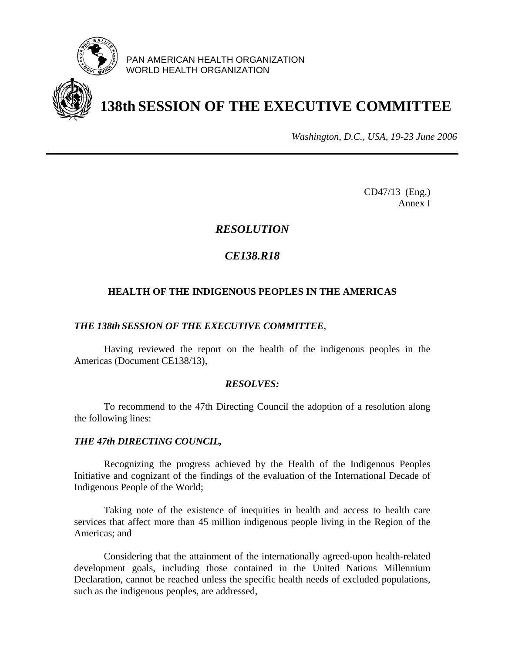

PAN AMERICAN HEALTH ORGANIZATION WORLD HEALTH ORGANIZATION



# **138th SESSION OF THE EXECUTIVE COMMITTEE**

*Washington, D.C., USA, 19-23 June 2006*

CD47/13 (Eng.) Annex I

# *RESOLUTION*

# *CE138.R18*

## **HEALTH OF THE INDIGENOUS PEOPLES IN THE AMERICAS**

### *THE 138th SESSION OF THE EXECUTIVE COMMITTEE,*

 Having reviewed the report on the health of the indigenous peoples in the Americas (Document CE138/13),

#### *RESOLVES:*

 To recommend to the 47th Directing Council the adoption of a resolution along the following lines:

#### *THE 47th DIRECTING COUNCIL,*

 Recognizing the progress achieved by the Health of the Indigenous Peoples Initiative and cognizant of the findings of the evaluation of the International Decade of Indigenous People of the World;

 Taking note of the existence of inequities in health and access to health care services that affect more than 45 million indigenous people living in the Region of the Americas; and

 Considering that the attainment of the internationally agreed-upon health-related development goals, including those contained in the United Nations Millennium Declaration, cannot be reached unless the specific health needs of excluded populations, such as the indigenous peoples, are addressed,